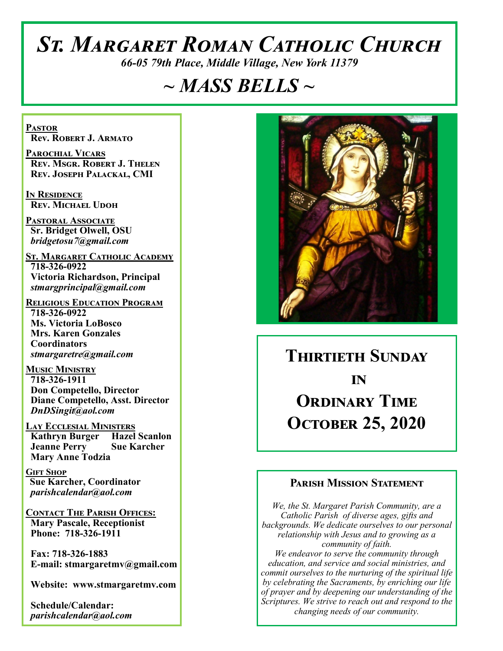# *St. Margaret Roman Catholic Church*

*66-05 79th Place, Middle Village, New York 11379*

# *~ MASS BELLS ~*

**Pastor Rev. Robert J. Armato**

**Parochial Vicars Rev. Msgr. Robert J. Thelen Rev. Joseph Palackal, CMI**

**In Residence Rev. Michael Udoh**

**Pastoral Associate Sr. Bridget Olwell, OSU**  *bridgetosu7@gmail.com*

**St. Margaret Catholic Academy 718-326-0922 Victoria Richardson, Principal**  *stmargprincipal@gmail.com*

**Religious Education Program 718-326-0922 Ms. Victoria LoBosco Mrs. Karen Gonzales Coordinators** *stmargaretre@gmail.com*

**Music Ministry 718-326-1911 Don Competello, Director Diane Competello, Asst. Director** *DnDSingit@aol.com*

**Lay Ecclesial Ministers Kathryn Burger Hazel Scanlon Jeanne Perry Sue Karcher Mary Anne Todzia**

**Gift Shop Sue Karcher, Coordinator** *parishcalendar@aol.com*

**Contact The Parish Offices: Mary Pascale, Receptionist Phone: 718-326-1911** 

 **Fax: 718-326-1883 E-mail: stmargaretmv@gmail.com**

 **Website: www.stmargaretmv.com**

 **Schedule/Calendar:** *parishcalendar@aol.com* 



**Thirtieth Sunday in Ordinary Time October 25, 2020** 

#### **Parish Mission Statement**

*We, the St. Margaret Parish Community, are a Catholic Parish of diverse ages, gifts and backgrounds. We dedicate ourselves to our personal relationship with Jesus and to growing as a community of faith. We endeavor to serve the community through education, and service and social ministries, and commit ourselves to the nurturing of the spiritual life by celebrating the Sacraments, by enriching our life of prayer and by deepening our understanding of the Scriptures. We strive to reach out and respond to the changing needs of our community.*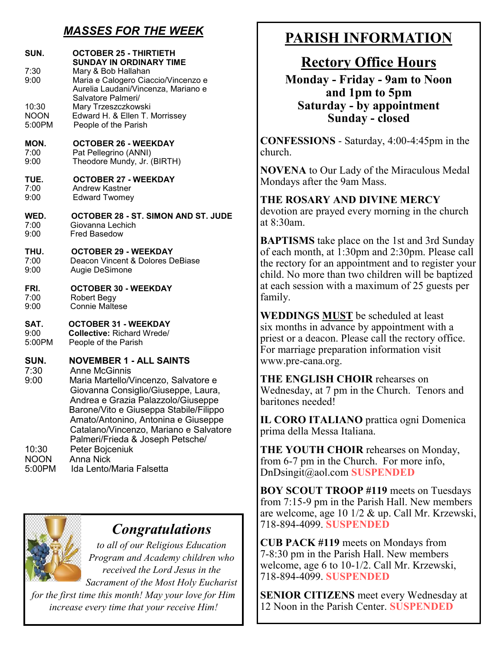## *MASSES FOR THE WEEK*

| SUN.                 | <b>OCTOBER 25 - THIRTIETH</b><br><b>SUNDAY IN ORDINARY TIME</b>                                                                                                                                                                                                                                                                            |
|----------------------|--------------------------------------------------------------------------------------------------------------------------------------------------------------------------------------------------------------------------------------------------------------------------------------------------------------------------------------------|
| 7:30<br>9:00         | Mary & Bob Hallahan<br>Maria e Calogero Ciaccio/Vincenzo e<br>Aurelia Laudani/Vincenza, Mariano e<br>Salvatore Palmeri/                                                                                                                                                                                                                    |
| 10:30                | Mary Trzeszczkowski                                                                                                                                                                                                                                                                                                                        |
| <b>NOON</b>          | Edward H. & Ellen T. Morrissey                                                                                                                                                                                                                                                                                                             |
| 5:00PM               | People of the Parish                                                                                                                                                                                                                                                                                                                       |
| MON.                 | <b>OCTOBER 26 - WEEKDAY</b>                                                                                                                                                                                                                                                                                                                |
| 7:00                 | Pat Pellegrino (ANNI)                                                                                                                                                                                                                                                                                                                      |
| 9:00                 | Theodore Mundy, Jr. (BIRTH)                                                                                                                                                                                                                                                                                                                |
| TUE.                 | <b>OCTOBER 27 - WEEKDAY</b>                                                                                                                                                                                                                                                                                                                |
| 7:00                 | Andrew Kastner                                                                                                                                                                                                                                                                                                                             |
| 9:00                 | <b>Edward Twomey</b>                                                                                                                                                                                                                                                                                                                       |
| WED.                 | OCTOBER 28 - ST. SIMON AND ST. JUDE                                                                                                                                                                                                                                                                                                        |
| 7:00                 | Giovanna Lechich                                                                                                                                                                                                                                                                                                                           |
| 9:00                 | <b>Fred Basedow</b>                                                                                                                                                                                                                                                                                                                        |
| THU.                 | <b>OCTOBER 29 - WEEKDAY</b>                                                                                                                                                                                                                                                                                                                |
| 7:00                 | Deacon Vincent & Dolores DeBiase                                                                                                                                                                                                                                                                                                           |
| 9:00                 | Augie DeSimone                                                                                                                                                                                                                                                                                                                             |
| FRI.                 | <b>OCTOBER 30 - WEEKDAY</b>                                                                                                                                                                                                                                                                                                                |
| 7:00                 | <b>Robert Begy</b>                                                                                                                                                                                                                                                                                                                         |
| 9:00                 | <b>Connie Maltese</b>                                                                                                                                                                                                                                                                                                                      |
| SAT.                 | <b>OCTOBER 31 - WEEKDAY</b>                                                                                                                                                                                                                                                                                                                |
| 9:00                 | <b>Collective: Richard Wrede/</b>                                                                                                                                                                                                                                                                                                          |
| 5:00PM               | People of the Parish                                                                                                                                                                                                                                                                                                                       |
| SUN.<br>7:30<br>9:00 | <b>NOVEMBER 1 - ALL SAINTS</b><br><b>Anne McGinnis</b><br>Maria Martello/Vincenzo, Salvatore e<br>Giovanna Consiglio/Giuseppe, Laura,<br>Andrea e Grazia Palazzolo/Giuseppe<br>Barone/Vito e Giuseppa Stabile/Filippo<br>Amato/Antonino, Antonina e Giuseppe<br>Catalano/Vincenzo, Mariano e Salvatore<br>Palmeri/Frieda & Joseph Petsche/ |
| 10:30                | Peter Bojceniuk                                                                                                                                                                                                                                                                                                                            |
| <b>NOON</b>          | <b>Anna Nick</b>                                                                                                                                                                                                                                                                                                                           |
| 5:00PM               | Ida Lento/Maria Falsetta                                                                                                                                                                                                                                                                                                                   |



# *Congratulations*

*to all of our Religious Education Program and Academy children who received the Lord Jesus in the Sacrament of the Most Holy Eucharist* 

*for the first time this month! May your love for Him increase every time that your receive Him!* 

# **PARISH INFORMATION**

## **Rectory Office Hours**

**Monday - Friday - 9am to Noon and 1pm to 5pm Saturday - by appointment Sunday - closed**

**CONFESSIONS** - Saturday, 4:00-4:45pm in the church.

**NOVENA** to Our Lady of the Miraculous Medal Mondays after the 9am Mass.

**THE ROSARY AND DIVINE MERCY** devotion are prayed every morning in the church at 8:30am.

**BAPTISMS** take place on the 1st and 3rd Sunday of each month, at 1:30pm and 2:30pm. Please call the rectory for an appointment and to register your child. No more than two children will be baptized at each session with a maximum of 25 guests per family.

**WEDDINGS MUST** be scheduled at least six months in advance by appointment with a priest or a deacon. Please call the rectory office. For marriage preparation information visit www.pre-cana.org.

**THE ENGLISH CHOIR** rehearses on Wednesday, at 7 pm in the Church. Tenors and baritones needed!

**IL CORO ITALIANO** prattica ogni Domenica prima della Messa Italiana.

**THE YOUTH CHOIR** rehearses on Monday, from 6-7 pm in the Church. For more info, DnDsingit@aol.com **SUSPENDED**

**BOY SCOUT TROOP #119** meets on Tuesdays from 7:15-9 pm in the Parish Hall. New members are welcome, age 10 1/2 & up. Call Mr. Krzewski, 718-894-4099. **SUSPENDED**

**CUB PACK #119** meets on Mondays from 7-8:30 pm in the Parish Hall. New members welcome, age 6 to 10-1/2. Call Mr. Krzewski, 718-894-4099. **SUSPENDED**

**SENIOR CITIZENS** meet every Wednesday at 12 Noon in the Parish Center. **SUSPENDED**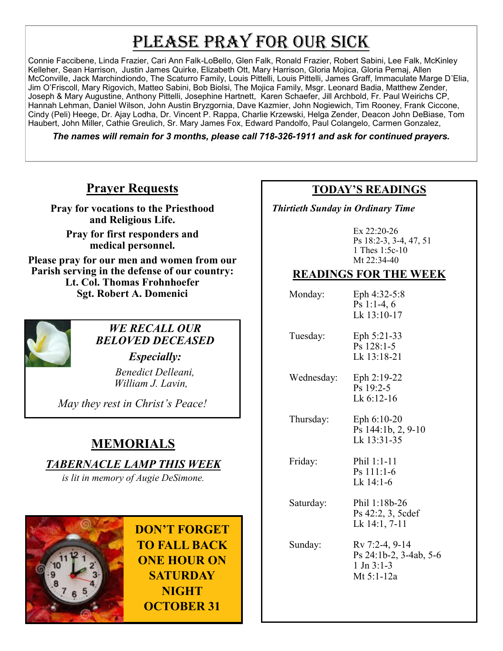# PLEASE PRAY FOR OUR SICK

Connie Faccibene, Linda Frazier, Cari Ann Falk-LoBello, Glen Falk, Ronald Frazier, Robert Sabini, Lee Falk, McKinley Kelleher, Sean Harrison, Justin James Quirke, Elizabeth Ott, Mary Harrison, Gloria Mojica, Gloria Pemaj, Allen McConville, Jack Marchindiondo, The Scaturro Family, Louis Pittelli, Louis Pittelli, James Graff, Immaculate Marge D'Elia, Jim O'Friscoll, Mary Rigovich, Matteo Sabini, Bob Biolsi, The Mojica Family, Msgr. Leonard Badia, Matthew Zender, Joseph & Mary Augustine, Anthony Pittelli, Josephine Hartnett, Karen Schaefer, Jill Archbold, Fr. Paul Weirichs CP, Hannah Lehman, Daniel Wilson, John Austin Bryzgornia, Dave Kazmier, John Nogiewich, Tim Rooney, Frank Ciccone, Cindy (Peli) Heege, Dr. Ajay Lodha, Dr. Vincent P. Rappa, Charlie Krzewski, Helga Zender, Deacon John DeBiase, Tom Haubert, John Miller, Cathie Greulich, Sr. Mary James Fox, Edward Pandolfo, Paul Colangelo, Carmen Gonzalez,

*The names will remain for 3 months, please call 718-326-1911 and ask for continued prayers.*

## **Prayer Requests**

**Pray for vocations to the Priesthood and Religious Life.** 

**Pray for first responders and medical personnel.**

**Please pray for our men and women from our Parish serving in the defense of our country: Lt. Col. Thomas Frohnhoefer Sgt. Robert A. Domenici** 



#### *WE RECALL OUR BELOVED DECEASED*

*Especially: Benedict Delleani, William J. Lavin,*

*May they rest in Christ's Peace!*

# **MEMORIALS**

## *TABERNACLE LAMP THIS WEEK*

*is lit in memory of Augie DeSimone.* 



**DON'T FORGET TO FALL BACK ONE HOUR ON SATURDAY NIGHT OCTOBER 31**

## **TODAY'S READINGS**

 *Thirtieth Sunday in Ordinary Time*

Ex 22:20-26 Ps 18:2-3, 3-4, 47, 51 1 Thes 1:5c-10 Mt 22:34-40

## **READINGS FOR THE WEEK**

| Monday:    | Eph 4:32-5:8<br>Ps 1:1-4, $6$<br>Lk 13:10-17                             |
|------------|--------------------------------------------------------------------------|
| Tuesday:   | Eph 5:21-33<br>$Ps$ 128:1-5<br>Lk 13:18-21                               |
| Wednesday: | Eph $2:19-22$<br>$Ps$ 19:2-5<br>Lk $6:12-16$                             |
| Thursday:  | Eph 6:10-20<br>Ps 144:1b, 2, 9-10<br>Lk 13:31-35                         |
| Friday:    | Phil 1:1-11<br>$Ps$ 111:1-6<br>Lk 14:1-6                                 |
| Saturday:  | Phil 1:18b-26<br>Ps 42:2, 3, 5cdef<br>Lk 14:1, 7-11                      |
| Sunday:    | Rv 7:2-4, 9-14<br>Ps 24:1b-2, 3-4ab, 5-6<br>$1$ Jn $3:1-3$<br>Mt 5:1-12a |
|            |                                                                          |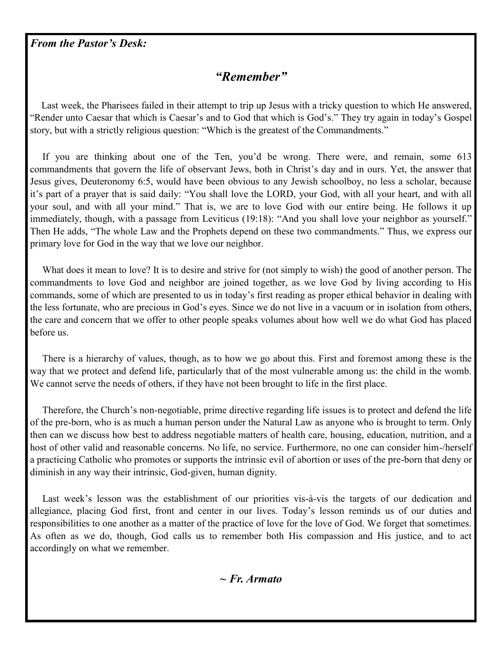*From the Pastor's Desk:*

## *"Remember"*

 Last week, the Pharisees failed in their attempt to trip up Jesus with a tricky question to which He answered, "Render unto Caesar that which is Caesar's and to God that which is God's." They try again in today's Gospel story, but with a strictly religious question: "Which is the greatest of the Commandments."

 If you are thinking about one of the Ten, you'd be wrong. There were, and remain, some 613 commandments that govern the life of observant Jews, both in Christ's day and in ours. Yet, the answer that Jesus gives, Deuteronomy 6:5, would have been obvious to any Jewish schoolboy, no less a scholar, because it's part of a prayer that is said daily: "You shall love the LORD, your God, with all your heart, and with all your soul, and with all your mind." That is, we are to love God with our entire being. He follows it up immediately, though, with a passage from Leviticus (19:18): "And you shall love your neighbor as yourself." Then He adds, "The whole Law and the Prophets depend on these two commandments." Thus, we express our primary love for God in the way that we love our neighbor.

What does it mean to love? It is to desire and strive for (not simply to wish) the good of another person. The commandments to love God and neighbor are joined together, as we love God by living according to His commands, some of which are presented to us in today's first reading as proper ethical behavior in dealing with the less fortunate, who are precious in God's eyes. Since we do not live in a vacuum or in isolation from others, the care and concern that we offer to other people speaks volumes about how well we do what God has placed before us.

 There is a hierarchy of values, though, as to how we go about this. First and foremost among these is the way that we protect and defend life, particularly that of the most vulnerable among us: the child in the womb. We cannot serve the needs of others, if they have not been brought to life in the first place.

 Therefore, the Church's non-negotiable, prime directive regarding life issues is to protect and defend the life of the pre-born, who is as much a human person under the Natural Law as anyone who is brought to term. Only then can we discuss how best to address negotiable matters of health care, housing, education, nutrition, and a host of other valid and reasonable concerns. No life, no service. Furthermore, no one can consider him-/herself a practicing Catholic who promotes or supports the intrinsic evil of abortion or uses of the pre-born that deny or diminish in any way their intrinsic, God-given, human dignity.

Last week's lesson was the establishment of our priorities vis-à-vis the targets of our dedication and allegiance, placing God first, front and center in our lives. Today's lesson reminds us of our duties and responsibilities to one another as a matter of the practice of love for the love of God. We forget that sometimes. As often as we do, though, God calls us to remember both His compassion and His justice, and to act accordingly on what we remember.

*~ Fr. Armato*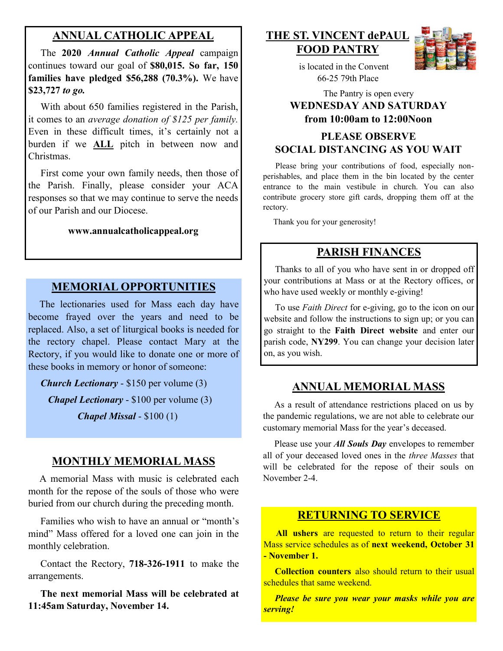#### **ANNUAL CATHOLIC APPEAL**

 The **2020** *Annual Catholic Appeal* campaign continues toward our goal of **\$80,015. So far, 150 families have pledged \$56,288 (70.3%).** We have **\$23,727** *to go.* 

With about 650 families registered in the Parish, it comes to an *average donation of \$125 per family.*  Even in these difficult times, it's certainly not a burden if we **ALL** pitch in between now and Christmas.

 First come your own family needs, then those of the Parish. Finally, please consider your ACA responses so that we may continue to serve the needs of our Parish and our Diocese.

#### **www.annualcatholicappeal.org**

#### **MEMORIAL OPPORTUNITIES**

 The lectionaries used for Mass each day have become frayed over the years and need to be replaced. Also, a set of liturgical books is needed for the rectory chapel. Please contact Mary at the Rectory, if you would like to donate one or more of these books in memory or honor of someone:

*Church Lectionary* - \$150 per volume (3)

*Chapel Lectionary* - \$100 per volume (3)

*Chapel Missal* - \$100 (1)

#### **MONTHLY MEMORIAL MASS**

 A memorial Mass with music is celebrated each month for the repose of the souls of those who were buried from our church during the preceding month.

 Families who wish to have an annual or "month's mind" Mass offered for a loved one can join in the monthly celebration.

 Contact the Rectory, **718-326-1911** to make the arrangements.

 **The next memorial Mass will be celebrated at 11:45am Saturday, November 14.** 

#### **THE ST. VINCENT dePAUL FOOD PANTRY**



 is located in the Convent 66-25 79th Place

## The Pantry is open every **WEDNESDAY AND SATURDAY from 10:00am to 12:00Noon PLEASE OBSERVE**

## **SOCIAL DISTANCING AS YOU WAIT**

 Please bring your contributions of food, especially nonperishables, and place them in the bin located by the center entrance to the main vestibule in church. You can also contribute grocery store gift cards, dropping them off at the rectory.

Thank you for your generosity!

#### **PARISH FINANCES**

 Thanks to all of you who have sent in or dropped off your contributions at Mass or at the Rectory offices, or who have used weekly or monthly e-giving!

 To use *Faith Direct* for e-giving, go to the icon on our website and follow the instructions to sign up; or you can go straight to the **Faith Direct website** and enter our parish code, **NY299**. You can change your decision later on, as you wish.

#### **ANNUAL MEMORIAL MASS**

 As a result of attendance restrictions placed on us by the pandemic regulations, we are not able to celebrate our customary memorial Mass for the year's deceased.

 Please use your *All Souls Day* envelopes to remember all of your deceased loved ones in the *three Masses* that will be celebrated for the repose of their souls on November 2-4.

#### **RETURNING TO SERVICE**

 **All ushers** are requested to return to their regular Mass service schedules as of **next weekend, October 31 - November 1.**

 **Collection counters** also should return to their usual schedules that same weekend.

 *Please be sure you wear your masks while you are serving!*